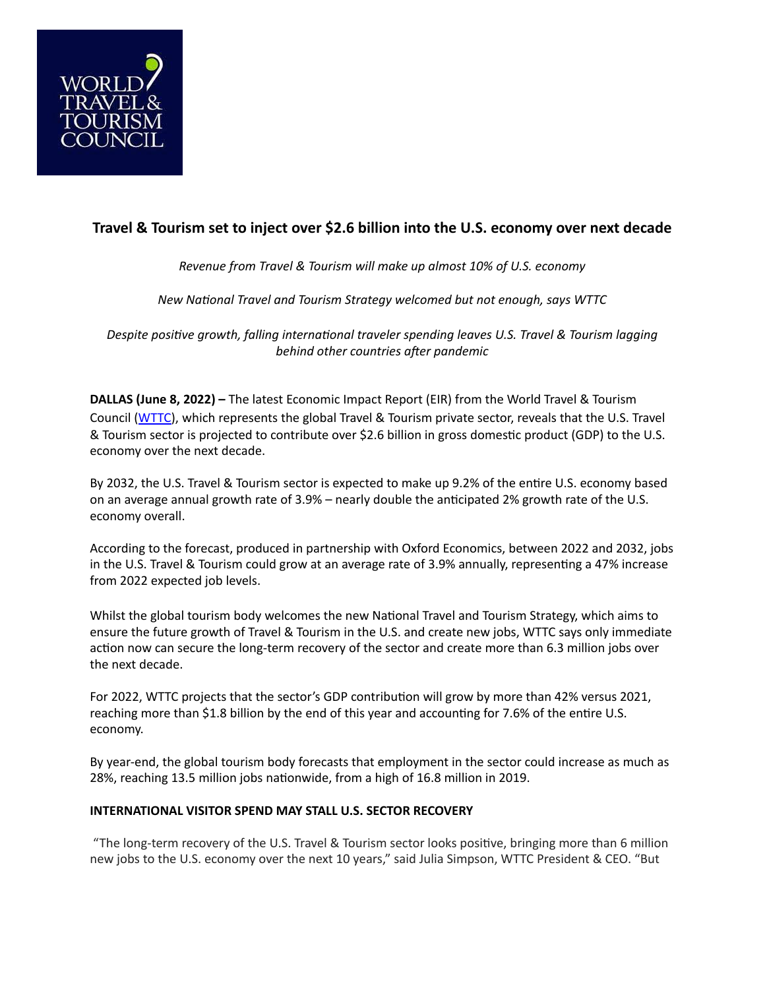

## **Travel & Tourism set to inject over \$2.6 billion into the U.S. economy over next decade**

*Revenue from Travel & Tourism will make up almost 10% of U.S. economy*

*New National Travel and Tourism Strategy welcomed but not enough, says WTTC*

*Despite positive growth, falling international traveler spending leaves U.S. Travel & Tourism lagging behind other countries after pandemic*

**DALLAS (June 8, 2022) –** The latest Economic Impact Report (EIR) from the World Travel & Tourism Council ([WTTC](http://www.wttc.org)), which represents the global Travel & Tourism private sector, reveals that the U.S. Travel & Tourism sector is projected to contribute over \$2.6 billion in gross domestic product (GDP) to the U.S. economy over the next decade.

By 2032, the U.S. Travel & Tourism sector is expected to make up 9.2% of the entire U.S. economy based on an average annual growth rate of 3.9% – nearly double the anticipated 2% growth rate of the U.S. economy overall.

According to the forecast, produced in partnership with Oxford Economics, between 2022 and 2032, jobs in the U.S. Travel & Tourism could grow at an average rate of 3.9% annually, representing a 47% increase from 2022 expected job levels.

Whilst the global tourism body welcomes the new National Travel and Tourism Strategy, which aims to ensure the future growth of Travel & Tourism in the U.S. and create new jobs, WTTC says only immediate action now can secure the long-term recovery of the sector and create more than 6.3 million jobs over the next decade.

For 2022, WTTC projects that the sector's GDP contribution will grow by more than 42% versus 2021, reaching more than \$1.8 billion by the end of this year and accounting for 7.6% of the entire U.S. economy.

By year-end, the global tourism body forecasts that employment in the sector could increase as much as 28%, reaching 13.5 million jobs nationwide, from a high of 16.8 million in 2019.

## **INTERNATIONAL VISITOR SPEND MAY STALL U.S. SECTOR RECOVERY**

 "The long-term recovery of the U.S. Travel & Tourism sector looks positive, bringing more than 6 million new jobs to the U.S. economy over the next 10 years," said Julia Simpson, WTTC President & CEO. "But